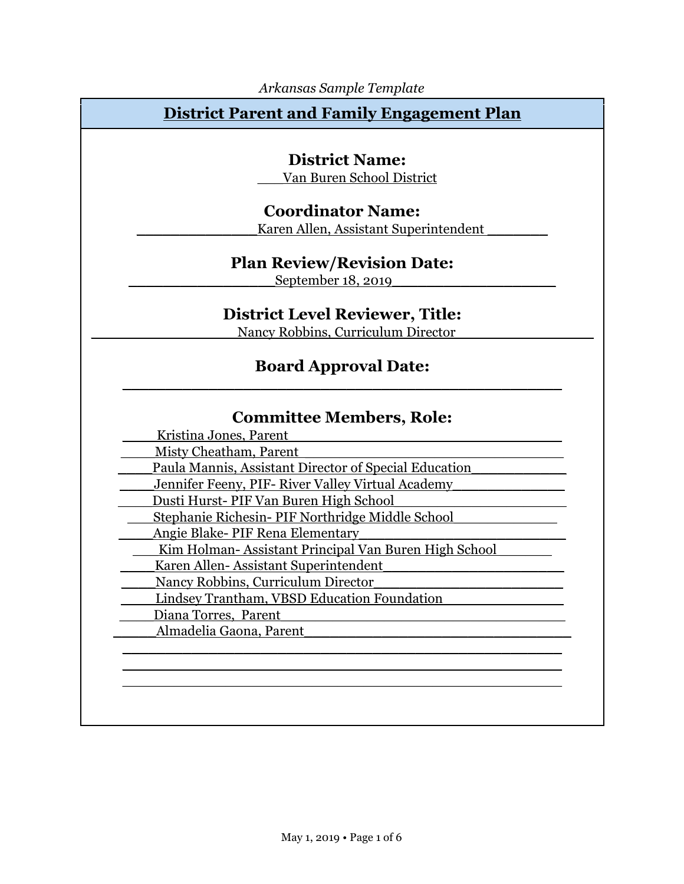### **District Parent and Family Engagement Plan**

### **District Name:**

\_\_\_Van Buren School District

#### **Coordinator Name:**

Karen Allen, Assistant Superintendent

### **Plan Review/Revision Date:**

September 18, 2019

#### **District Level Reviewer, Title:**

Nancy Robbins, Curriculum Director

#### **Board Approval Date:** \_\_\_\_\_\_\_\_\_\_\_\_\_\_\_\_\_\_\_\_\_\_\_\_\_\_\_\_\_\_\_\_\_\_\_\_\_\_\_\_\_\_\_\_\_\_\_\_\_\_\_

#### **Committee Members, Role:**

| Kristina Jones, Parent                                |
|-------------------------------------------------------|
| Misty Cheatham, Parent                                |
| Paula Mannis, Assistant Director of Special Education |
| Jennifer Feeny, PIF- River Valley Virtual Academy     |
| Dusti Hurst- PIF Van Buren High School                |
| Stephanie Richesin- PIF Northridge Middle School      |
| Angie Blake-PIF Rena Elementary                       |
| Kim Holman-Assistant Principal Van Buren High School  |
| Karen Allen-Assistant Superintendent                  |
| Nancy Robbins, Curriculum Director                    |
| Lindsey Trantham, VBSD Education Foundation           |
| Diana Torres, Parent                                  |
| Almadelia Gaona, Parent                               |
|                                                       |
|                                                       |
|                                                       |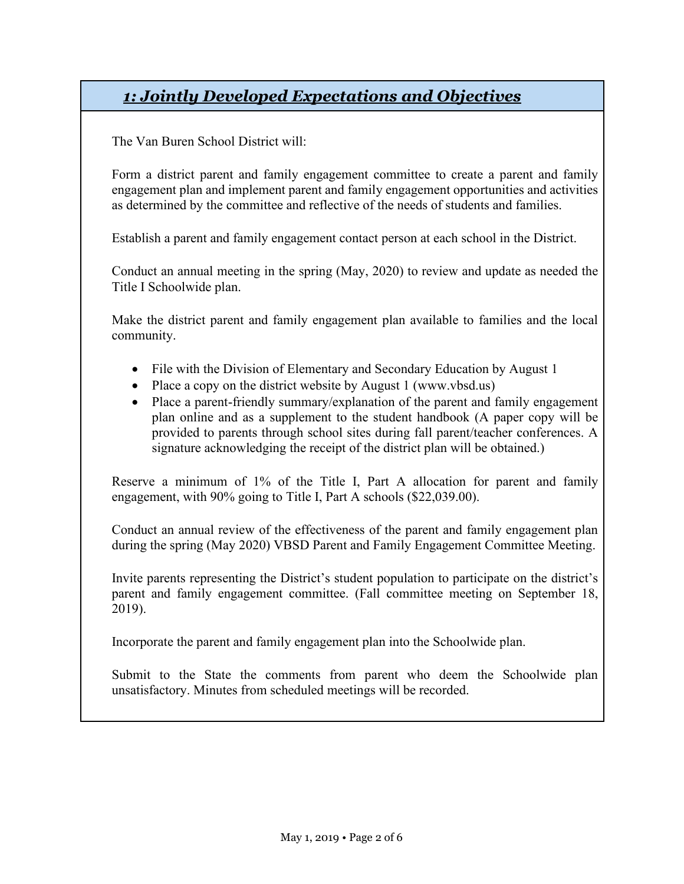# *1: Jointly Developed Expectations and Objectives*

The Van Buren School District will:

Form a district parent and family engagement committee to create a parent and family engagement plan and implement parent and family engagement opportunities and activities as determined by the committee and reflective of the needs of students and families.

Establish a parent and family engagement contact person at each school in the District.

Conduct an annual meeting in the spring (May, 2020) to review and update as needed the Title I Schoolwide plan.

Make the district parent and family engagement plan available to families and the local community.

- File with the Division of Elementary and Secondary Education by August 1
- Place a copy on the district website by August 1 (www.vbsd.us)
- Place a parent-friendly summary/explanation of the parent and family engagement plan online and as a supplement to the student handbook (A paper copy will be provided to parents through school sites during fall parent/teacher conferences. A signature acknowledging the receipt of the district plan will be obtained.)

Reserve a minimum of 1% of the Title I, Part A allocation for parent and family engagement, with 90% going to Title I, Part A schools (\$22,039.00).

Conduct an annual review of the effectiveness of the parent and family engagement plan during the spring (May 2020) VBSD Parent and Family Engagement Committee Meeting.

Invite parents representing the District's student population to participate on the district's parent and family engagement committee. (Fall committee meeting on September 18, 2019).

Incorporate the parent and family engagement plan into the Schoolwide plan.

Submit to the State the comments from parent who deem the Schoolwide plan unsatisfactory. Minutes from scheduled meetings will be recorded.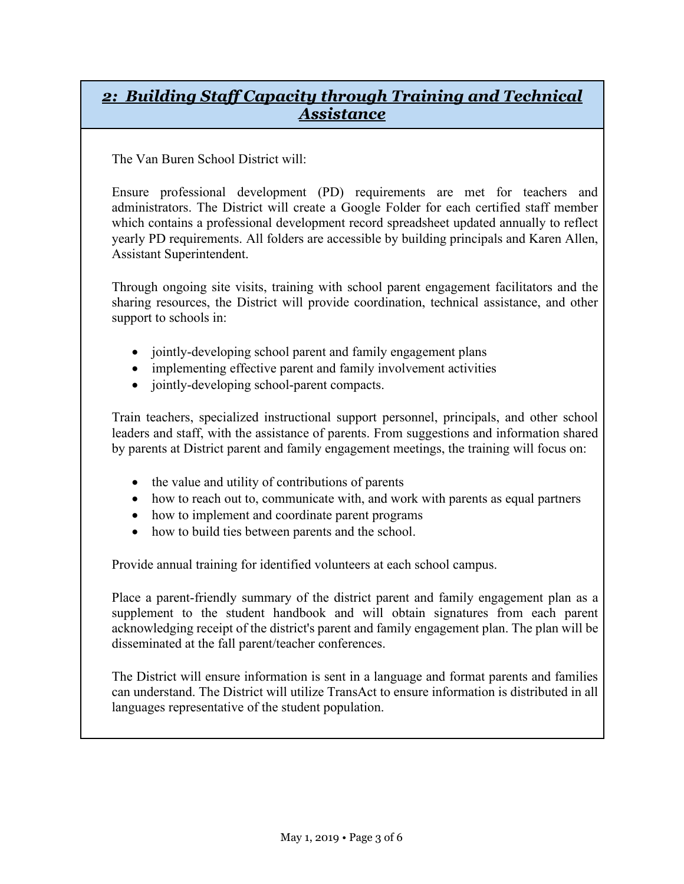### *2: Building Staff Capacity through Training and Technical Assistance*

The Van Buren School District will:

Ensure professional development (PD) requirements are met for teachers and administrators. The District will create a Google Folder for each certified staff member which contains a professional development record spreadsheet updated annually to reflect yearly PD requirements. All folders are accessible by building principals and Karen Allen, Assistant Superintendent.

Through ongoing site visits, training with school parent engagement facilitators and the sharing resources, the District will provide coordination, technical assistance, and other support to schools in:

- jointly-developing school parent and family engagement plans
- implementing effective parent and family involvement activities
- jointly-developing school-parent compacts.

Train teachers, specialized instructional support personnel, principals, and other school leaders and staff, with the assistance of parents. From suggestions and information shared by parents at District parent and family engagement meetings, the training will focus on:

- the value and utility of contributions of parents
- how to reach out to, communicate with, and work with parents as equal partners
- how to implement and coordinate parent programs
- how to build ties between parents and the school.

Provide annual training for identified volunteers at each school campus.

Place a parent-friendly summary of the district parent and family engagement plan as a supplement to the student handbook and will obtain signatures from each parent acknowledging receipt of the district's parent and family engagement plan. The plan will be disseminated at the fall parent/teacher conferences.

The District will ensure information is sent in a language and format parents and families can understand. The District will utilize TransAct to ensure information is distributed in all languages representative of the student population.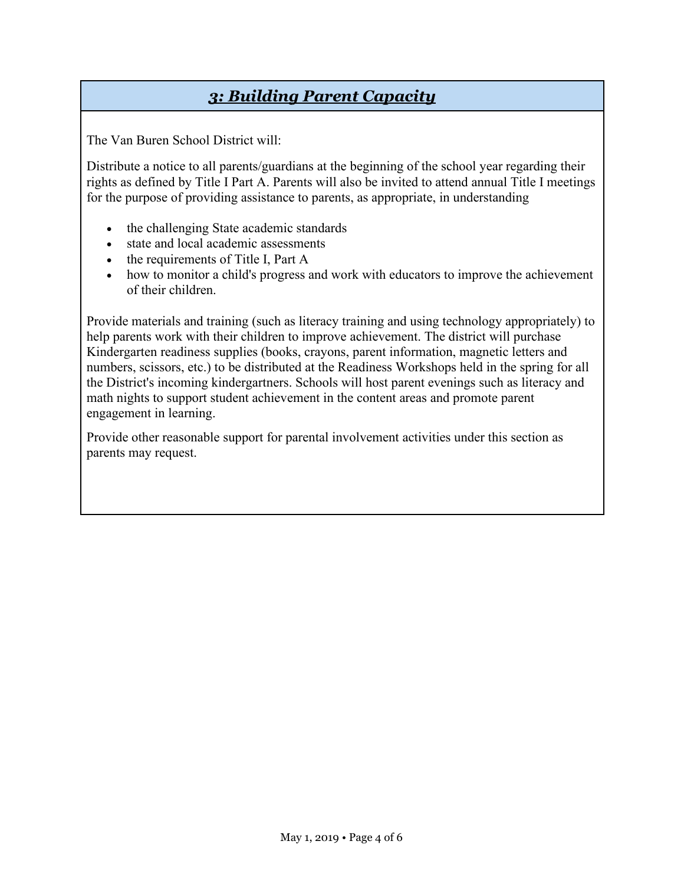## *3: Building Parent Capacity*

The Van Buren School District will:

Distribute a notice to all parents/guardians at the beginning of the school year regarding their rights as defined by Title I Part A. Parents will also be invited to attend annual Title I meetings for the purpose of providing assistance to parents, as appropriate, in understanding

- the challenging State academic standards
- state and local academic assessments
- the requirements of Title I, Part A
- how to monitor a child's progress and work with educators to improve the achievement of their children.

Provide materials and training (such as literacy training and using technology appropriately) to help parents work with their children to improve achievement. The district will purchase Kindergarten readiness supplies (books, crayons, parent information, magnetic letters and numbers, scissors, etc.) to be distributed at the Readiness Workshops held in the spring for all the District's incoming kindergartners. Schools will host parent evenings such as literacy and math nights to support student achievement in the content areas and promote parent engagement in learning.

Provide other reasonable support for parental involvement activities under this section as parents may request.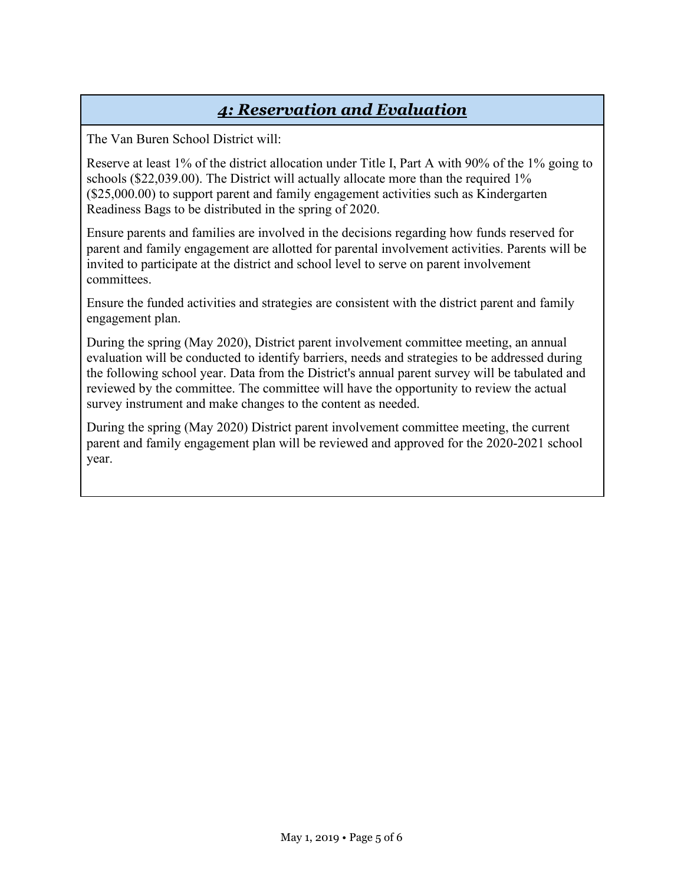## *4: Reservation and Evaluation*

The Van Buren School District will:

Reserve at least 1% of the district allocation under Title I, Part A with 90% of the 1% going to schools (\$22,039.00). The District will actually allocate more than the required 1% (\$25,000.00) to support parent and family engagement activities such as Kindergarten Readiness Bags to be distributed in the spring of 2020.

Ensure parents and families are involved in the decisions regarding how funds reserved for parent and family engagement are allotted for parental involvement activities. Parents will be invited to participate at the district and school level to serve on parent involvement committees.

Ensure the funded activities and strategies are consistent with the district parent and family engagement plan.

During the spring (May 2020), District parent involvement committee meeting, an annual evaluation will be conducted to identify barriers, needs and strategies to be addressed during the following school year. Data from the District's annual parent survey will be tabulated and reviewed by the committee. The committee will have the opportunity to review the actual survey instrument and make changes to the content as needed.

During the spring (May 2020) District parent involvement committee meeting, the current parent and family engagement plan will be reviewed and approved for the 2020-2021 school year.